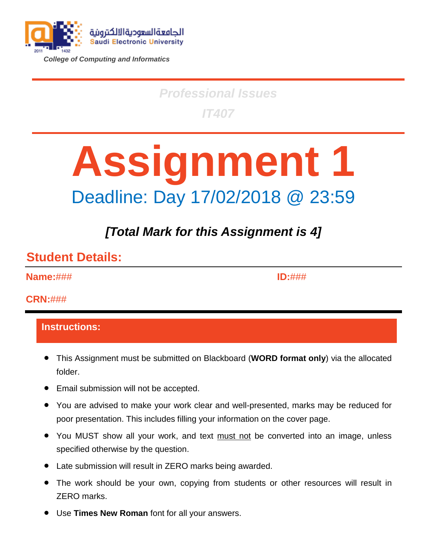

*College of Computing and Informatics*

# *Professional Issues IT407*

# **Assignment 1** Deadline: Day 17/02/2018 @ 23:59

# *[Total Mark for this Assignment is 4]*

### **Student Details:**

**Name:**###

**ID:**###

### **CRN:**###

### **Instructions:**

- This Assignment must be submitted on Blackboard (**WORD format only**) via the allocated folder.
- Email submission will not be accepted.
- You are advised to make your work clear and well-presented, marks may be reduced for poor presentation. This includes filling your information on the cover page.
- You MUST show all your work, and text must not be converted into an image, unless specified otherwise by the question.
- Late submission will result in ZERO marks being awarded.
- The work should be your own, copying from students or other resources will result in ZERO marks.
- Use **Times New Roman** font for all your answers.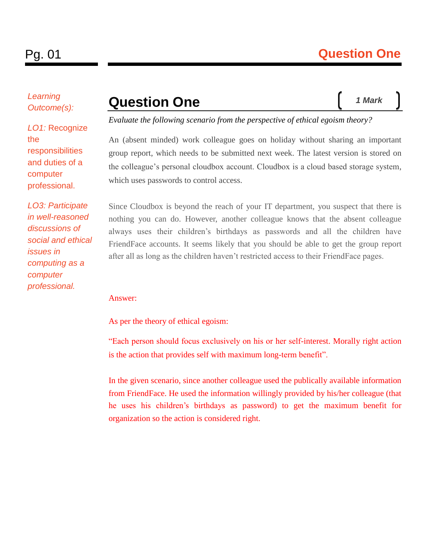*Learning Outcome(s):*

*LO1:* Recognize the responsibilities and duties of a computer professional.

*LO3: Participate in well-reasoned discussions of social and ethical issues in computing as a computer professional.*

### **Question One**

*1 Mark*

*Evaluate the following scenario from the perspective of ethical egoism theory?*

An (absent minded) work colleague goes on holiday without sharing an important group report, which needs to be submitted next week. The latest version is stored on the colleague's personal cloudbox account. Cloudbox is a cloud based storage system, which uses passwords to control access.

Since Cloudbox is beyond the reach of your IT department, you suspect that there is nothing you can do. However, another colleague knows that the absent colleague always uses their children's birthdays as passwords and all the children have FriendFace accounts. It seems likely that you should be able to get the group report after all as long as the children haven't restricted access to their FriendFace pages.

#### Answer:

As per the theory of ethical egoism:

"Each person should focus exclusively on his or her self-interest. Morally right action is the action that provides self with maximum long-term benefit".

In the given scenario, since another colleague used the publically available information from FriendFace. He used the information willingly provided by his/her colleague (that he uses his children's birthdays as password) to get the maximum benefit for organization so the action is considered right.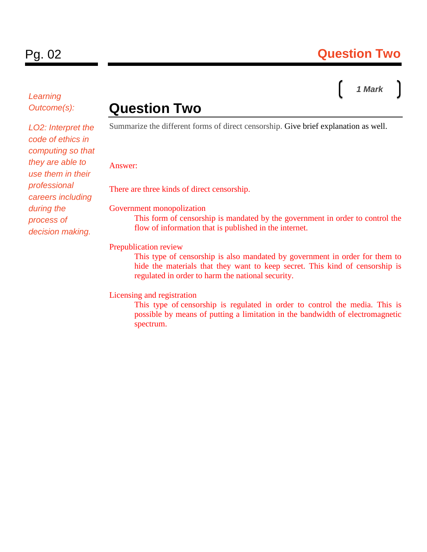*Learning Outcome(s):*

### Pg. 02 **Question Two**

# *1 Mark*

### **Question Two**

*LO2: Interpret the code of ethics in computing so that they are able to use them in their professional careers including during the process of decision making.*

Summarize the different forms of direct censorship. Give brief explanation as well.

#### Answer:

There are three kinds of direct censorship.

Government monopolization

This form of censorship is mandated by the government in order to control the flow of information that is published in the internet.

#### Prepublication review

This type of censorship is also mandated by government in order for them to hide the materials that they want to keep secret. This kind of censorship is regulated in order to harm the national security.

#### Licensing and registration

This type of censorship is regulated in order to control the media. This is possible by means of putting a limitation in the bandwidth of electromagnetic spectrum.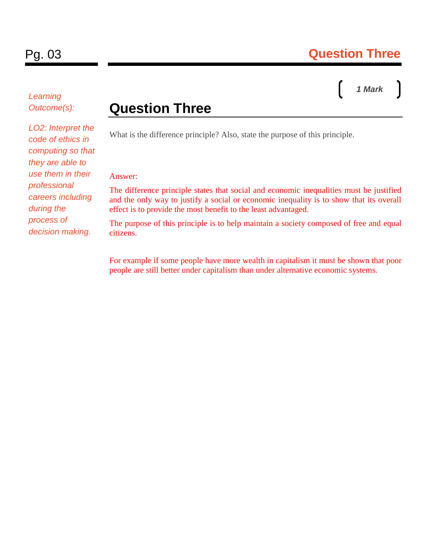### *1 Mark*

### *Learning Outcome(s):*

*LO2: Interpret the code of ethics in computing so that they are able to use them in their professional careers including during the process of decision making.*

### **Question Three**

What is the difference principle? Also, state the purpose of this principle.

#### Answer:

The difference principle states that social and economic inequalities must be justified and the only way to justify a social or economic inequality is to show that its overall effect is to provide the most benefit to the least advantaged.

The purpose of this principle is to help maintain a society composed of free and equal citizens.

For example if some people have more wealth in capitalism it must be shown that poor people are still better under capitalism than under alternative economic systems.